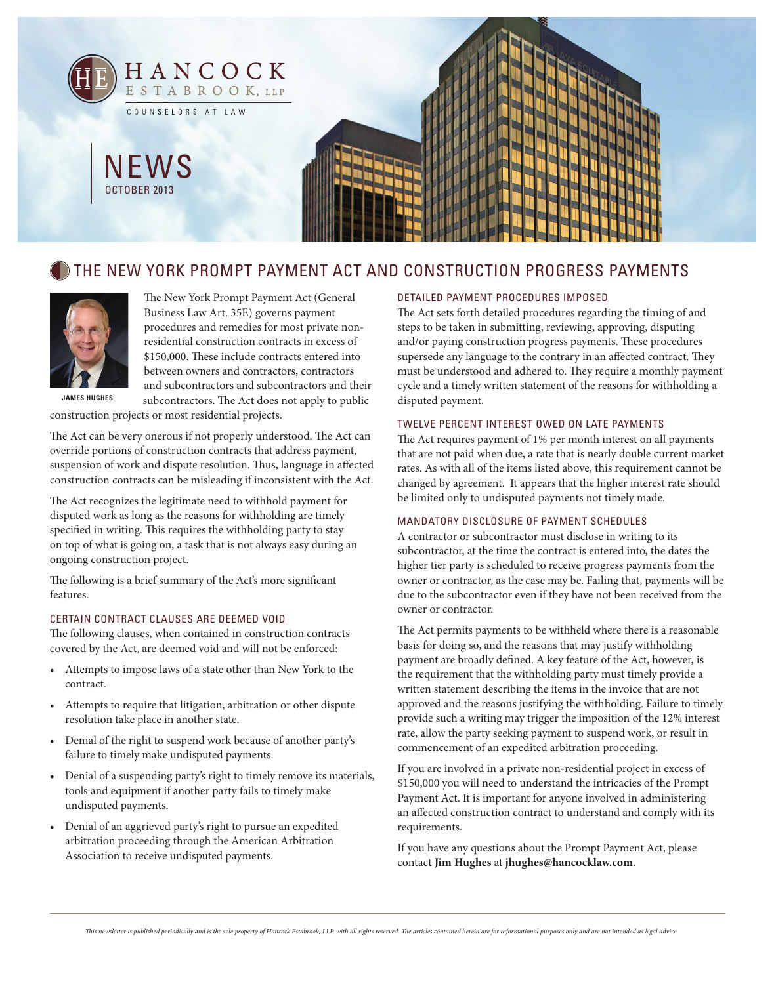

# THE NEW YORK PROMPT PAYMENT ACT AND CONSTRUCTION PROGRESS PAYMENTS



The New York Prompt Payment Act (General Business Law Art. 35E) governs payment procedures and remedies for most private nonresidential construction contracts in excess of \$150,000. These include contracts entered into between owners and contractors, contractors and subcontractors and subcontractors and their subcontractors. The Act does not apply to public

**James Hughes**

construction projects or most residential projects.

The Act can be very onerous if not properly understood. The Act can override portions of construction contracts that address payment, suspension of work and dispute resolution. Thus, language in affected construction contracts can be misleading if inconsistent with the Act.

The Act recognizes the legitimate need to withhold payment for disputed work as long as the reasons for withholding are timely specified in writing. This requires the withholding party to stay on top of what is going on, a task that is not always easy during an ongoing construction project.

The following is a brief summary of the Act's more significant features.

#### Certain Contract Clauses are Deemed Void

The following clauses, when contained in construction contracts covered by the Act, are deemed void and will not be enforced:

- Attempts to impose laws of a state other than New York to the contract.
- Attempts to require that litigation, arbitration or other dispute resolution take place in another state.
- Denial of the right to suspend work because of another party's failure to timely make undisputed payments.
- Denial of a suspending party's right to timely remove its materials, tools and equipment if another party fails to timely make undisputed payments.
- Denial of an aggrieved party's right to pursue an expedited arbitration proceeding through the American Arbitration Association to receive undisputed payments.

## Detailed Payment Procedures Imposed

The Act sets forth detailed procedures regarding the timing of and steps to be taken in submitting, reviewing, approving, disputing and/or paying construction progress payments. These procedures supersede any language to the contrary in an affected contract. They must be understood and adhered to. They require a monthly payment cycle and a timely written statement of the reasons for withholding a disputed payment.

#### Twelve Percent Interest Owed on Late Payments

The Act requires payment of 1% per month interest on all payments that are not paid when due, a rate that is nearly double current market rates. As with all of the items listed above, this requirement cannot be changed by agreement. It appears that the higher interest rate should be limited only to undisputed payments not timely made.

### Mandatory Disclosure of Payment Schedules

A contractor or subcontractor must disclose in writing to its subcontractor, at the time the contract is entered into, the dates the higher tier party is scheduled to receive progress payments from the owner or contractor, as the case may be. Failing that, payments will be due to the subcontractor even if they have not been received from the owner or contractor.

The Act permits payments to be withheld where there is a reasonable basis for doing so, and the reasons that may justify withholding payment are broadly defined. A key feature of the Act, however, is the requirement that the withholding party must timely provide a written statement describing the items in the invoice that are not approved and the reasons justifying the withholding. Failure to timely provide such a writing may trigger the imposition of the 12% interest rate, allow the party seeking payment to suspend work, or result in commencement of an expedited arbitration proceeding.

If you are involved in a private non-residential project in excess of \$150,000 you will need to understand the intricacies of the Prompt Payment Act. It is important for anyone involved in administering an affected construction contract to understand and comply with its requirements.

If you have any questions about the Prompt Payment Act, please contact **Jim Hughes** at **jhughes@hancocklaw.com**.